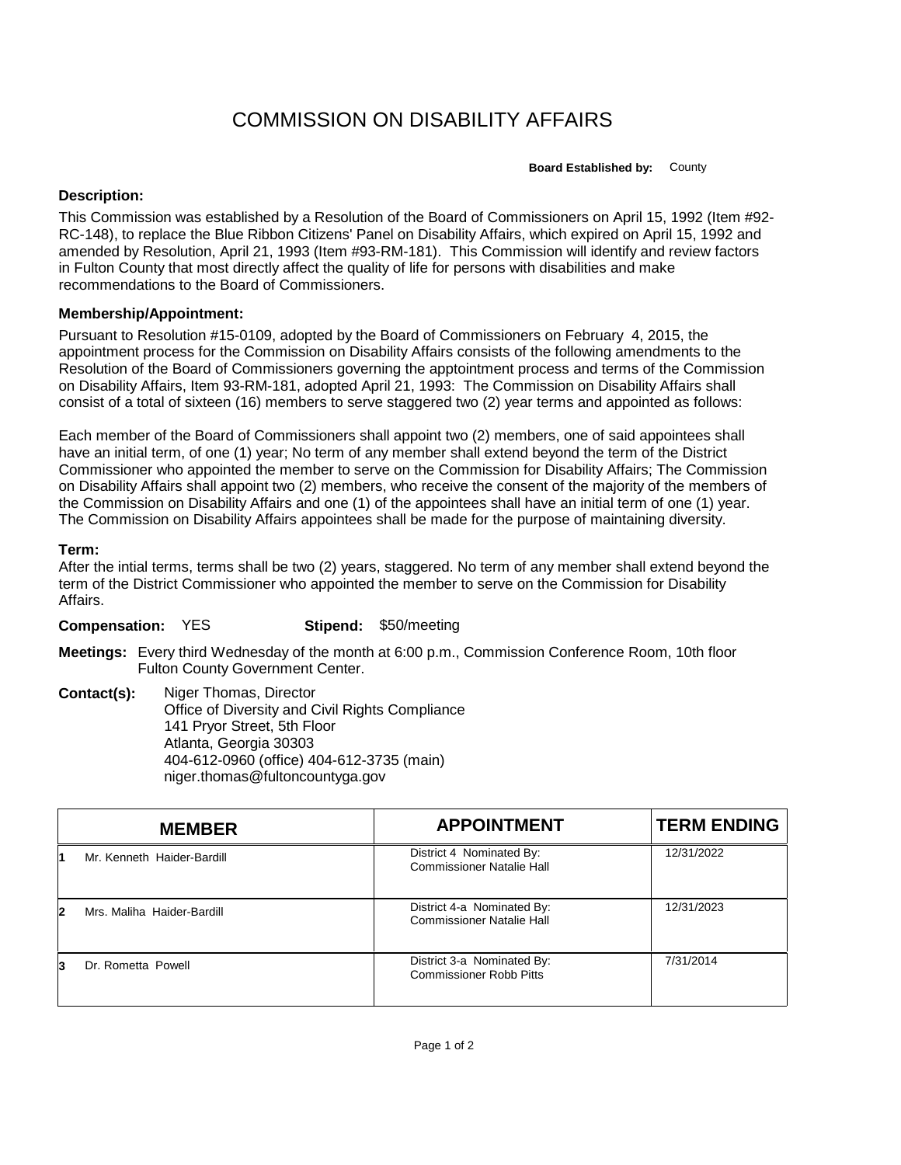## COMMISSION ON DISABILITY AFFAIRS

**Board Established by:** County

## **Description:**

This Commission was established by a Resolution of the Board of Commissioners on April 15, 1992 (Item #92- RC-148), to replace the Blue Ribbon Citizens' Panel on Disability Affairs, which expired on April 15, 1992 and amended by Resolution, April 21, 1993 (Item #93-RM-181). This Commission will identify and review factors in Fulton County that most directly affect the quality of life for persons with disabilities and make recommendations to the Board of Commissioners.

## **Membership/Appointment:**

Pursuant to Resolution #15-0109, adopted by the Board of Commissioners on February 4, 2015, the appointment process for the Commission on Disability Affairs consists of the following amendments to the Resolution of the Board of Commissioners governing the apptointment process and terms of the Commission on Disability Affairs, Item 93-RM-181, adopted April 21, 1993: The Commission on Disability Affairs shall consist of a total of sixteen (16) members to serve staggered two (2) year terms and appointed as follows:

Each member of the Board of Commissioners shall appoint two (2) members, one of said appointees shall have an initial term, of one (1) year; No term of any member shall extend beyond the term of the District Commissioner who appointed the member to serve on the Commission for Disability Affairs; The Commission on Disability Affairs shall appoint two (2) members, who receive the consent of the majority of the members of the Commission on Disability Affairs and one (1) of the appointees shall have an initial term of one (1) year. The Commission on Disability Affairs appointees shall be made for the purpose of maintaining diversity.

## **Term:**

After the intial terms, terms shall be two (2) years, staggered. No term of any member shall extend beyond the term of the District Commissioner who appointed the member to serve on the Commission for Disability Affairs.

**Compensation:** YES **Stipend:** \$50/meeting

**Meetings:** Every third Wednesday of the month at 6:00 p.m., Commission Conference Room, 10th floor Fulton County Government Center.

**Contact(s):** Niger Thomas, Director Office of Diversity and Civil Rights Compliance 141 Pryor Street, 5th Floor Atlanta, Georgia 30303 404-612-0960 (office) 404-612-3735 (main) niger.thomas@fultoncountyga.gov

|   | <b>MEMBER</b>              | <b>APPOINTMENT</b>                                             | <b>TERM ENDING</b> |
|---|----------------------------|----------------------------------------------------------------|--------------------|
|   | Mr. Kenneth Haider-Bardill | District 4 Nominated By:<br><b>Commissioner Natalie Hall</b>   | 12/31/2022         |
| 2 | Mrs. Maliha Haider-Bardill | District 4-a Nominated By:<br><b>Commissioner Natalie Hall</b> | 12/31/2023         |
| 3 | Dr. Rometta Powell         | District 3-a Nominated By:<br><b>Commissioner Robb Pitts</b>   | 7/31/2014          |